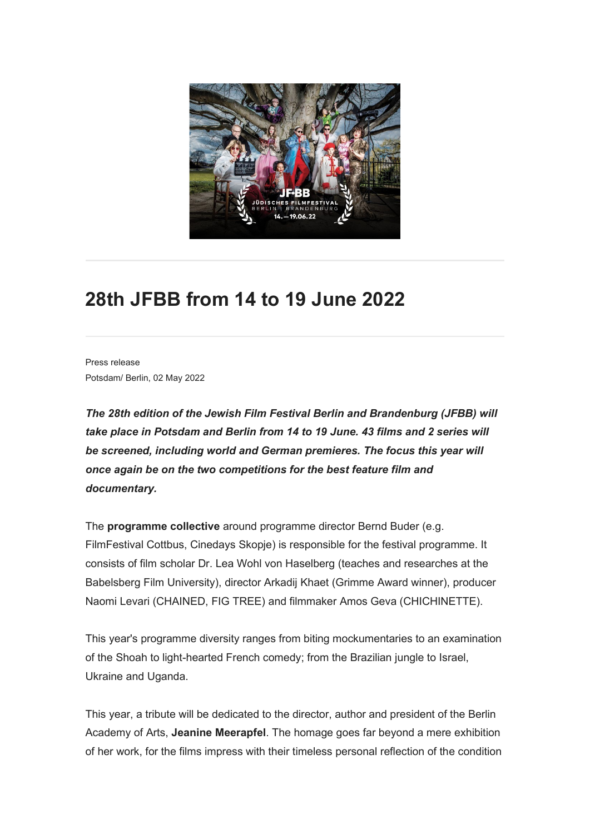

## **28th JFBB from 14 to 19 June 2022**

Press release Potsdam/ Berlin, 02 May 2022

*The 28th edition of the Jewish Film Festival Berlin and Brandenburg (JFBB) will take place in Potsdam and Berlin from 14 to 19 June. 43 films and 2 series will be screened, including world and German premieres. The focus this year will once again be on the two competitions for the best feature film and documentary.*

The **programme collective** around programme director Bernd Buder (e.g. FilmFestival Cottbus, Cinedays Skopje) is responsible for the festival programme. It consists of film scholar Dr. Lea Wohl von Haselberg (teaches and researches at the Babelsberg Film University), director Arkadij Khaet (Grimme Award winner), producer Naomi Levari (CHAINED, FIG TREE) and filmmaker Amos Geva (CHICHINETTE).

This year's programme diversity ranges from biting mockumentaries to an examination of the Shoah to light-hearted French comedy; from the Brazilian jungle to Israel, Ukraine and Uganda.

This year, a tribute will be dedicated to the director, author and president of the Berlin Academy of Arts, **Jeanine Meerapfel**. The homage goes far beyond a mere exhibition of her work, for the films impress with their timeless personal reflection of the condition